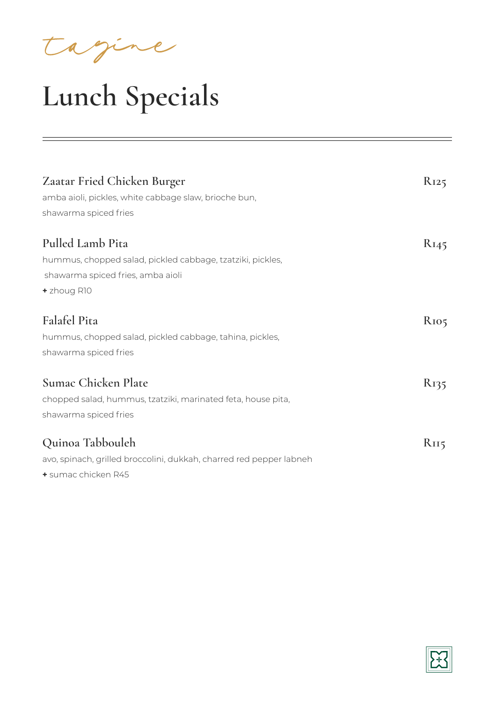tagine

## **Lunch Specials**

| Zaatar Fried Chicken Burger<br>amba aioli, pickles, white cabbage slaw, brioche bun,<br>shawarma spiced fries                      | $R_{125}$        |
|------------------------------------------------------------------------------------------------------------------------------------|------------------|
| Pulled Lamb Pita<br>hummus, chopped salad, pickled cabbage, tzatziki, pickles,<br>shawarma spiced fries, amba aioli<br>+ zhoug R10 | $R_{145}$        |
| <b>Falafel Pita</b><br>hummus, chopped salad, pickled cabbage, tahina, pickles,<br>shawarma spiced fries                           | R <sub>105</sub> |
| Sumac Chicken Plate<br>chopped salad, hummus, tzatziki, marinated feta, house pita,<br>shawarma spiced fries                       | K135             |
| Quinoa Tabbouleh<br>avo, spinach, grilled broccolini, dukkah, charred red pepper labneh<br>+ sumac chicken R45                     | R <sub>II5</sub> |

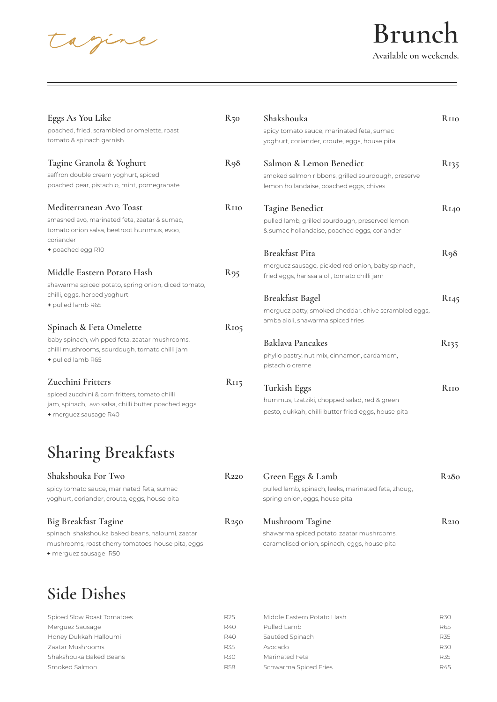agine

#### **Brunch Available on weekends.**

Eggs As You Like R50 poached, fried, scrambled or omelette, roast tomato & spinach garnish Tagine Granola & Yoghurt R98 saffron double cream yoghurt, spiced poached pear, pistachio, mint, pomegranate Mediterranean Avo Toast **R110** smashed avo, marinated feta, zaatar & sumac, tomato onion salsa, beetroot hummus, evoo, coriander **+** poached egg R10 **Middle Eastern Potato Hash R95** shawarma spiced potato, spring onion, diced tomato, chilli, eggs, herbed yoghurt **+** pulled lamb R65 **Spinach & Feta Omelette R105**  baby spinach, whipped feta, zaatar mushrooms, chilli mushrooms, sourdough, tomato chilli jam **+** pulled lamb R65 **Zucchini Fritters R115**  spiced zucchini & corn fritters, tomato chilli jam, spinach, avo salsa, chilli butter poached eggs **+** merguez sausage R40 **Shakshouka For Two R220**  spicy tomato sauce, marinated feta, sumac yoghurt, coriander, croute, eggs, house pita **Shakshouka R110** spicy tomato sauce, marinated feta, sumac yoghurt, coriander, croute, eggs, house pita **Salmon & Lemon Benedict R135** smoked salmon ribbons, grilled sourdough, preserve lemon hollandaise, poached eggs, chives Tagine Benedict R<sub>140</sub> pulled lamb, grilled sourdough, preserved lemon & sumac hollandaise, poached eggs, coriander **Breakfast Pita R98** merguez sausage, pickled red onion, baby spinach, fried eggs, harissa aioli, tomato chilli jam Breakfast Bagel R145 merguez patty, smoked cheddar, chive scrambled eggs, amba aioli, shawarma spiced fries Baklava Pancakes R135 phyllo pastry, nut mix, cinnamon, cardamom, pistachio creme Turkish Eggs R<sub>110</sub> hummus, tzatziki, chopped salad, red & green pesto, dukkah, chilli butter fried eggs, house pita **Green Eggs & Lamb R280**  pulled lamb, spinach, leeks, marinated feta, zhoug, spring onion, eggs, house pita **Sharing Breakfasts**

| <b>Big Breakfast Tagine</b>                        | <b>R250</b> | <b>Mushroom Tagine</b>                       | $R_{2I0}$ |
|----------------------------------------------------|-------------|----------------------------------------------|-----------|
| spinach, shakshouka baked beans, haloumi, zaatar   |             | shawarma spiced potato, zaatar mushrooms,    |           |
| mushrooms, roast cherry tomatoes, house pita, eggs |             | caramelised onion, spinach, eggs, house pita |           |
| + merguez sausage R50                              |             |                                              |           |

#### **Side Dishes**

| R <sub>25</sub> | <b>R30</b>                                                                                                         |
|-----------------|--------------------------------------------------------------------------------------------------------------------|
| R40             | <b>R65</b>                                                                                                         |
| R40             | <b>R35</b>                                                                                                         |
| R35             | <b>R30</b>                                                                                                         |
| R30.            | <b>R35</b>                                                                                                         |
| R58             | R45                                                                                                                |
|                 | Middle Eastern Potato Hash<br>Pulled Lamb<br>Sautéed Spinach<br>Avocado<br>Marinated Feta<br>Schwarma Spiced Fries |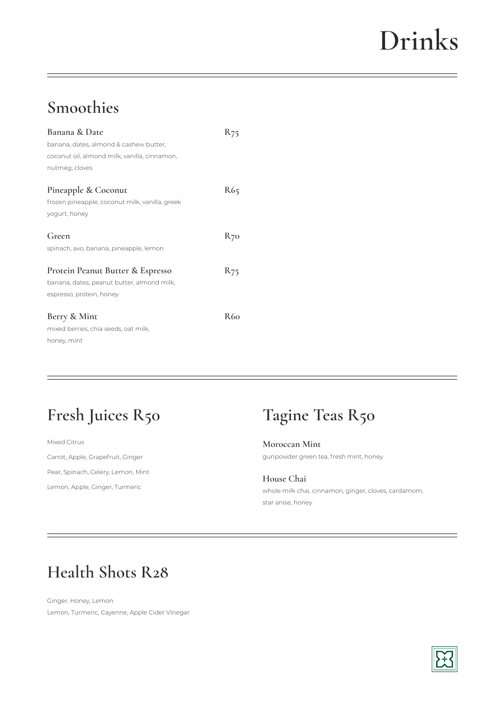# **Drinks**

#### **Smoothies**

| <b>Banana &amp; Date</b>                       |     |
|------------------------------------------------|-----|
| banana, dates, almond & cashew butter,         |     |
| coconut oil, almond milk, vanilla, cinnamon,   |     |
| nutmeg, cloves                                 |     |
| Pineapple & Coconut                            | R65 |
| frozen pineapple, coconut milk, vanilla, greek |     |
| yogurt, honey                                  |     |
| Green                                          | K70 |
| spinach, avo, banana, pineapple, lemon         |     |
| Protein Peanut Butter & Espresso               | K75 |
| banana, dates, peanut butter, almond milk,     |     |
| espresso, protein, honey                       |     |
| Berry & Mint                                   | R60 |
| mixed berries, chia seeds, oat milk,           |     |
| honey, mint                                    |     |

#### **Fresh Juices R50**

Mixed Citrus Carrot, Apple, Grapefruit, Ginger Pear, Spinach, Celery, Lemon, Mint Lemon, Apple, Ginger, Turmeric

#### **Tagine Teas R50**

**Moroccan Mint**  gunpowder green tea, fresh mint, honey

**House Chai** whole milk chai, cinnamon, ginger, cloves, cardamom, star anise, honey

#### **Health Shots R28**

Ginger, Honey, Lemon Lemon, Turmeric, Cayenne, Apple Cider Vinegar

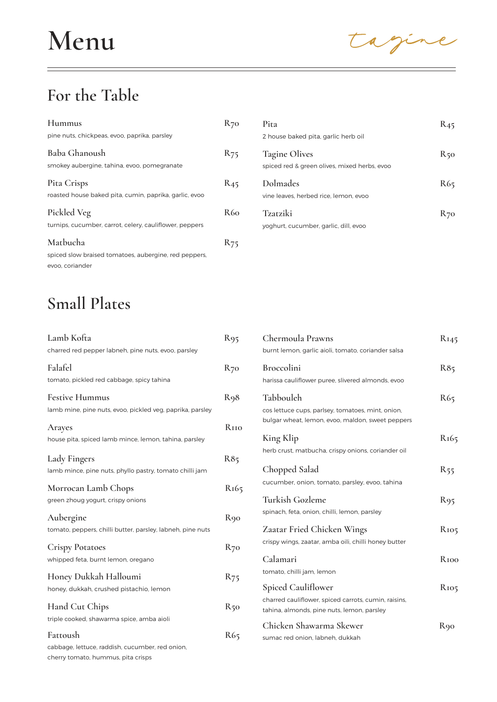tagine

#### **For the Table**

| Hummus                                                                 | $R_{70}$        | Pita                                                                 | $R_{45}$ |
|------------------------------------------------------------------------|-----------------|----------------------------------------------------------------------|----------|
| pine nuts, chickpeas, evoo, paprika, parsley                           |                 | 2 house baked pita, garlic herb oil                                  |          |
| Baba Ghanoush<br>smokey aubergine, tahina, evoo, pomegranate           | $R_{75}$        | <b>Tagine Olives</b><br>spiced red & green olives, mixed herbs, evoo | $R_{50}$ |
| Pita Crisps<br>roasted house baked pita, cumin, paprika, garlic, evoo  | $R_{45}$        | Dolmades<br>vine leaves, herbed rice, lemon, evoo                    | R65      |
| Pickled Veg<br>turnips, cucumber, carrot, celery, cauliflower, peppers | R60             | Tzatziki<br>yoghurt, cucumber, garlic, dill, evoo                    | $R_{7}c$ |
| Matbucha                                                               | R <sub>75</sub> |                                                                      |          |
| spiced slow braised tomatoes, aubergine, red peppers,                  |                 |                                                                      |          |
| evoo, coriander                                                        |                 |                                                                      |          |

#### **Small Plates**

| Lamb Kofta<br>charred red pepper labneh, pine nuts, evoo, parsley                                 | R <sub>95</sub>         |
|---------------------------------------------------------------------------------------------------|-------------------------|
| Falafel<br>tomato, pickled red cabbage, spicy tahina                                              | $R_{70}$                |
| <b>Festive Hummus</b><br>lamb mine, pine nuts, evoo, pickled veg, paprika, parsley                | R98                     |
| <b>Arayes</b><br>house pita, spiced lamb mince, lemon, tahina, parsley                            | <b>R</b> <sub>IIO</sub> |
| <b>Lady Fingers</b><br>lamb mince, pine nuts, phyllo pastry, tomato chilli jam                    | R85                     |
| Morrocan Lamb Chops<br>green zhoug yogurt, crispy onions                                          | R <sub>165</sub>        |
| Aubergine<br>tomato, peppers, chilli butter, parsley, labneh, pine nuts                           | R90                     |
| <b>Crispy Potatoes</b><br>whipped feta, burnt lemon, oregano                                      | $R_{70}$                |
| Honey Dukkah Halloumi<br>honey, dukkah, crushed pistachio, lemon                                  | R75                     |
| Hand Cut Chips<br>triple cooked, shawarma spice, amba aioli                                       | R50                     |
| Fattoush<br>cabbage, lettuce, raddish, cucumber, red onion,<br>cherry tomato, hummus, pita crisps | R65                     |

| 2 house baked pita, garlic herb oil                                  |                 |
|----------------------------------------------------------------------|-----------------|
| <b>Tagine Olives</b><br>spiced red & green olives, mixed herbs, evoo | $R_{50}$        |
| Dolmades<br>vine leaves, herbed rice, lemon, evoo                    | R <sub>65</sub> |
| Tzarziki<br>voahurt cucumber aarlic dill evoo                        | <b>R70</b>      |

| Chermoula Prawns                                           | burnt lemon, garlic aioli, tomato, coriander salsa                                                    | $R_{I45}$        |
|------------------------------------------------------------|-------------------------------------------------------------------------------------------------------|------------------|
| <b>Broccolini</b>                                          | harissa cauliflower puree, slivered almonds, evoo                                                     | R85              |
| Tabbouleh                                                  | cos lettuce cups, parlsey, tomatoes, mint, onion,<br>bulgar wheat, lemon, evoo, maldon, sweet peppers | R65              |
| King Klip                                                  | herb crust, matbucha, crispy onions, coriander oil                                                    | R <sub>165</sub> |
| Chopped Salad                                              | cucumber, onion, tomato, parsley, evoo, tahina                                                        | $R_{55}$         |
| Turkish Gozleme                                            | spinach, feta, onion, chilli, lemon, parsley                                                          | R95              |
|                                                            | Zaatar Fried Chicken Wings<br>crispy wings, zaatar, amba oili, chilli honey butter                    | R <sub>105</sub> |
| Calamari<br>tomato, chilli jam, lemon                      |                                                                                                       | Rioo             |
| Spiced Cauliflower                                         | charred cauliflower, spiced carrots, cumin, raisins,<br>tahina, almonds, pine nuts, lemon, parsley    | R <sub>105</sub> |
| Chicken Shawarma Skewer<br>sumac red onion, labneh, dukkah |                                                                                                       | R90              |